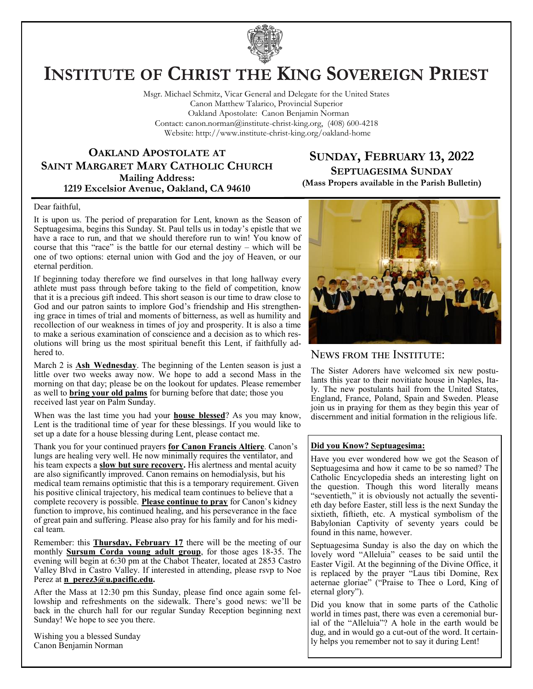

# **INSTITUTE OF CHRIST THE KING SOVEREIGN PRIEST**

Msgr. Michael Schmitz, Vicar General and Delegate for the United States Canon Matthew Talarico, Provincial Superior Oakland Apostolate: Canon Benjamin Norman Contact: canon.norman@institute-christ-king.org, (408) 600-4218 Website: http://www.institute-christ-king.org/oakland-home

## **OAKLAND APOSTOLATE AT SAINT MARGARET MARY CATHOLIC CHURCH Mailing Address: 1219 Excelsior Avenue, Oakland, CA 94610**

# **SUNDAY, FEBRUARY 13, 2022 SEPTUAGESIMA SUNDAY**

**(Mass Propers available in the Parish Bulletin)**

#### Dear faithful,

It is upon us. The period of preparation for Lent, known as the Season of Septuagesima, begins this Sunday. St. Paul tells us in today's epistle that we have a race to run, and that we should therefore run to win! You know of course that this "race" is the battle for our eternal destiny – which will be one of two options: eternal union with God and the joy of Heaven, or our eternal perdition.

If beginning today therefore we find ourselves in that long hallway every athlete must pass through before taking to the field of competition, know that it is a precious gift indeed. This short season is our time to draw close to God and our patron saints to implore God's friendship and His strengthening grace in times of trial and moments of bitterness, as well as humility and recollection of our weakness in times of joy and prosperity. It is also a time to make a serious examination of conscience and a decision as to which resolutions will bring us the most spiritual benefit this Lent, if faithfully adhered to.

March 2 is **Ash Wednesday**. The beginning of the Lenten season is just a little over two weeks away now. We hope to add a second Mass in the morning on that day; please be on the lookout for updates. Please remember as well to **bring your old palms** for burning before that date; those you received last year on Palm Sunday.

When was the last time you had your **house blessed**? As you may know, Lent is the traditional time of year for these blessings. If you would like to set up a date for a house blessing during Lent, please contact me.

Thank you for your continued prayers **for Canon Francis Altiere**. Canon's lungs are healing very well. He now minimally requires the ventilator, and his team expects a **slow but sure recovery.** His alertness and mental acuity are also significantly improved. Canon remains on hemodialysis, but his medical team remains optimistic that this is a temporary requirement. Given his positive clinical trajectory, his medical team continues to believe that a complete recovery is possible. **Please continue to pray** for Canon's kidney function to improve, his continued healing, and his perseverance in the face of great pain and suffering. Please also pray for his family and for his medical team.

Remember: this **Thursday, February 17** there will be the meeting of our monthly **Sursum Corda young adult group**, for those ages 18-35. The evening will begin at 6:30 pm at the Chabot Theater, located at 2853 Castro Valley Blvd in Castro Valley. If interested in attending, please rsvp to Noe Perez at **[n\\_perez3@u.pacific.edu.](mailto:n_perez3@u.pacific.edu)** 

After the Mass at 12:30 pm this Sunday, please find once again some fellowship and refreshments on the sidewalk. There's good news: we'll be back in the church hall for our regular Sunday Reception beginning next Sunday! We hope to see you there.

Wishing you a blessed Sunday Canon Benjamin Norman



## News from the Institute:

The Sister Adorers have welcomed six new postulants this year to their novitiate house in Naples, Italy. The new postulants hail from the United States, England, France, Poland, Spain and Sweden. Please join us in praying for them as they begin this year of discernment and initial formation in the religious life.

#### **Did you Know? Septuagesima:**

Have you ever wondered how we got the Season of Septuagesima and how it came to be so named? The Catholic Encyclopedia sheds an interesting light on the question. Though this word literally means "seventieth," it is obviously not actually the seventieth day before Easter, still less is the next Sunday the sixtieth, fiftieth, etc. A mystical symbolism of the Babylonian Captivity of seventy years could be found in this name, however.

Septuagesima Sunday is also the day on which the lovely word "Alleluia" ceases to be said until the Easter Vigil. At the beginning of the Divine Office, it is replaced by the prayer "Laus tibi Domine, Rex aeternae gloriae" ("Praise to Thee o Lord, King of eternal glory").

Did you know that in some parts of the Catholic world in times past, there was even a ceremonial burial of the "Alleluia"? A hole in the earth would be dug, and in would go a cut-out of the word. It certainly helps you remember not to say it during Lent!